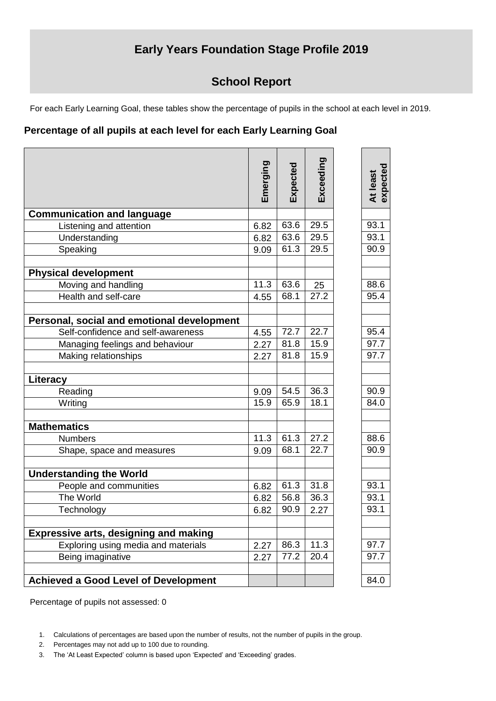## **Early Years Foundation Stage Profile 2019**

## **School Report**

For each Early Learning Goal, these tables show the percentage of pupils in the school at each level in 2019.

## **Percentage of all pupils at each level for each Early Learning Goal**

|                                              | Emerging          | Expected | Exceeding | At least<br>expected |
|----------------------------------------------|-------------------|----------|-----------|----------------------|
| <b>Communication and language</b>            |                   |          |           |                      |
| Listening and attention                      | 6.82              | 63.6     | 29.5      | 93.1                 |
| Understanding                                | 6.82              | 63.6     | 29.5      | 93.1                 |
| Speaking                                     | 9.09              | 61.3     | 29.5      | 90.9                 |
| <b>Physical development</b>                  |                   |          |           |                      |
| Moving and handling                          | $11.\overline{3}$ | 63.6     | 25        | 88.6                 |
| Health and self-care                         | 4.55              | 68.1     | 27.2      | 95.4                 |
| Personal, social and emotional development   |                   |          |           |                      |
| Self-confidence and self-awareness           | 4.55              | 72.7     | 22.7      | 95.4                 |
| Managing feelings and behaviour              | 2.27              | 81.8     | 15.9      | 97.7                 |
| Making relationships                         | 2.27              | 81.8     | 15.9      | 97.7                 |
| Literacy                                     |                   |          |           |                      |
| Reading                                      | 9.09              | 54.5     | 36.3      | 90.9                 |
| Writing                                      | 15.9              | 65.9     | 18.1      | 84.0                 |
| <b>Mathematics</b>                           |                   |          |           |                      |
| <b>Numbers</b>                               | 11.3              | 61.3     | 27.2      | 88.6                 |
| Shape, space and measures                    | 9.09              | 68.1     | 22.7      | 90.9                 |
| <b>Understanding the World</b>               |                   |          |           |                      |
| People and communities                       | 6.82              | 61.3     | 31.8      | 93.1                 |
| The World                                    | 6.82              | 56.8     | 36.3      | 93.1                 |
| Technology                                   | 6.82              | 90.9     | 2.27      | 93.1                 |
| <b>Expressive arts, designing and making</b> |                   |          |           |                      |
| Exploring using media and materials          | 2.27              | 86.3     | 11.3      | 97.7                 |
| Being imaginative                            | 2.27              | 77.2     | 20.4      | 97.7                 |
|                                              |                   |          |           |                      |
| <b>Achieved a Good Level of Development</b>  |                   |          |           | 84.0                 |

Percentage of pupils not assessed: 0

- 2. Percentages may not add up to 100 due to rounding.
- 3. The 'At Least Expected' column is based upon 'Expected' and 'Exceeding' grades.

<sup>1.</sup> Calculations of percentages are based upon the number of results, not the number of pupils in the group.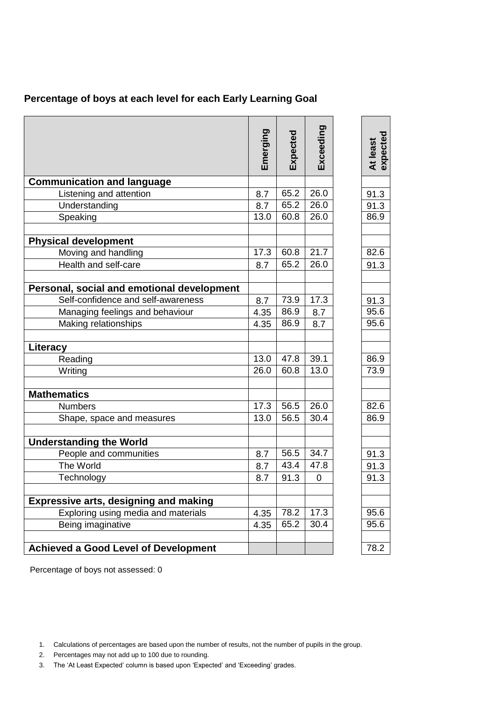|  |  |  | Percentage of boys at each level for each Early Learning Goal |
|--|--|--|---------------------------------------------------------------|
|--|--|--|---------------------------------------------------------------|

|                                              | Emerging | Expected | Exceeding | expected<br>At least |
|----------------------------------------------|----------|----------|-----------|----------------------|
|                                              |          |          |           |                      |
| <b>Communication and language</b>            |          |          |           |                      |
| Listening and attention                      | 8.7      | 65.2     | 26.0      | 91.3                 |
| Understanding                                | 8.7      | 65.2     | 26.0      | 91.3                 |
| Speaking                                     | 13.0     | 60.8     | 26.0      | 86.9                 |
| <b>Physical development</b>                  |          |          |           |                      |
| Moving and handling                          | 17.3     | 60.8     | 21.7      | 82.6                 |
| Health and self-care                         | 8.7      | 65.2     | 26.0      | 91.3                 |
| Personal, social and emotional development   |          |          |           |                      |
| Self-confidence and self-awareness           | 8.7      | 73.9     | 17.3      | 91.3                 |
| Managing feelings and behaviour              | 4.35     | 86.9     | 8.7       | 95.6                 |
| Making relationships                         | 4.35     | 86.9     | 8.7       | 95.6                 |
| Literacy                                     |          |          |           |                      |
| Reading                                      | 13.0     | 47.8     | 39.1      | 86.9                 |
| Writing                                      | 26.0     | 60.8     | 13.0      | 73.9                 |
| <b>Mathematics</b>                           |          |          |           |                      |
| <b>Numbers</b>                               | 17.3     | 56.5     | 26.0      | 82.6                 |
| Shape, space and measures                    | 13.0     | 56.5     | 30.4      | 86.9                 |
|                                              |          |          |           |                      |
| <b>Understanding the World</b>               |          |          |           |                      |
| People and communities                       | 8.7      | 56.5     | 34.7      | 91.3                 |
| The World                                    | 8.7      | 43.4     | 47.8      | 91.3                 |
| Technology                                   | 8.7      | 91.3     | 0         | 91.3                 |
| <b>Expressive arts, designing and making</b> |          |          |           |                      |
| Exploring using media and materials          | 4.35     | 78.2     | 17.3      | 95.6                 |
| Being imaginative                            | 4.35     | 65.2     | 30.4      | 95.6                 |
|                                              |          |          |           |                      |
| <b>Achieved a Good Level of Development</b>  |          |          |           | 78.2                 |

Percentage of boys not assessed: 0

- 2. Percentages may not add up to 100 due to rounding.
- 3. The 'At Least Expected' column is based upon 'Expected' and 'Exceeding' grades.

<sup>1.</sup> Calculations of percentages are based upon the number of results, not the number of pupils in the group.